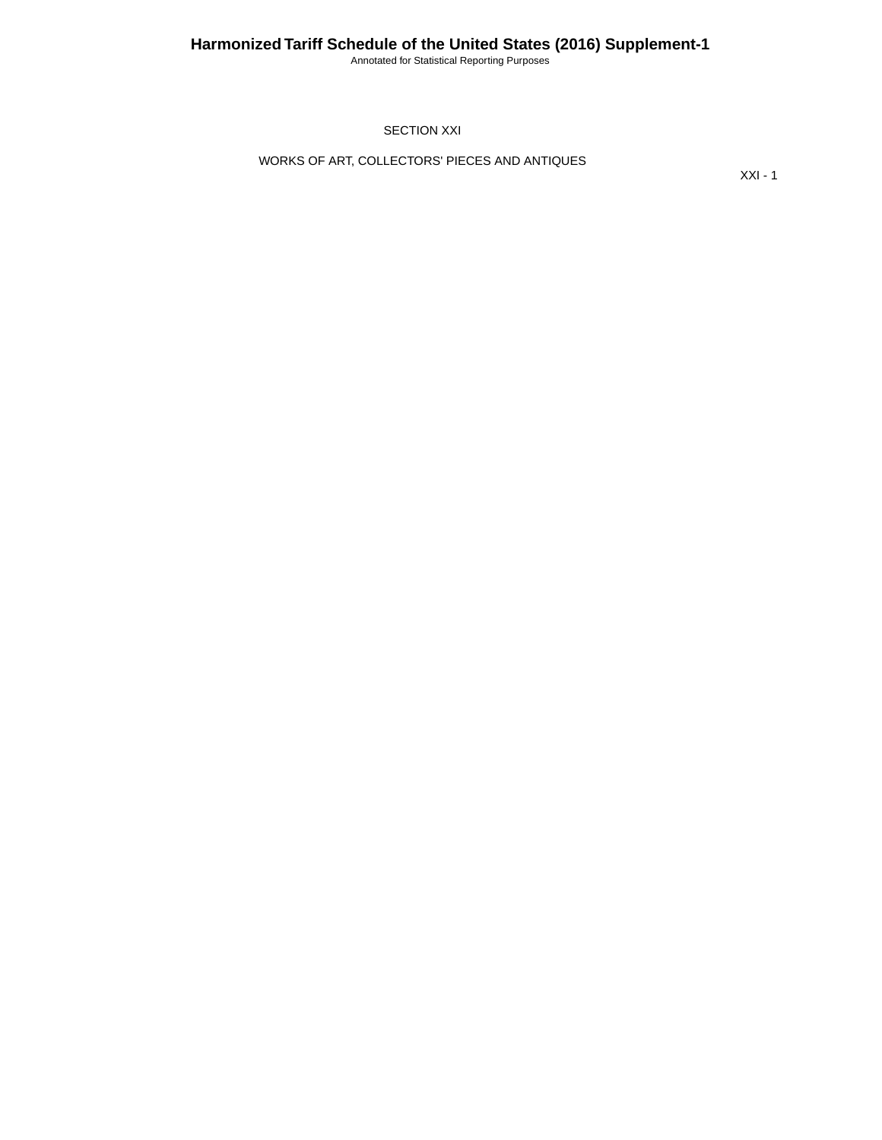Annotated for Statistical Reporting Purposes

SECTION XXI

WORKS OF ART, COLLECTORS' PIECES AND ANTIQUES

XXI - 1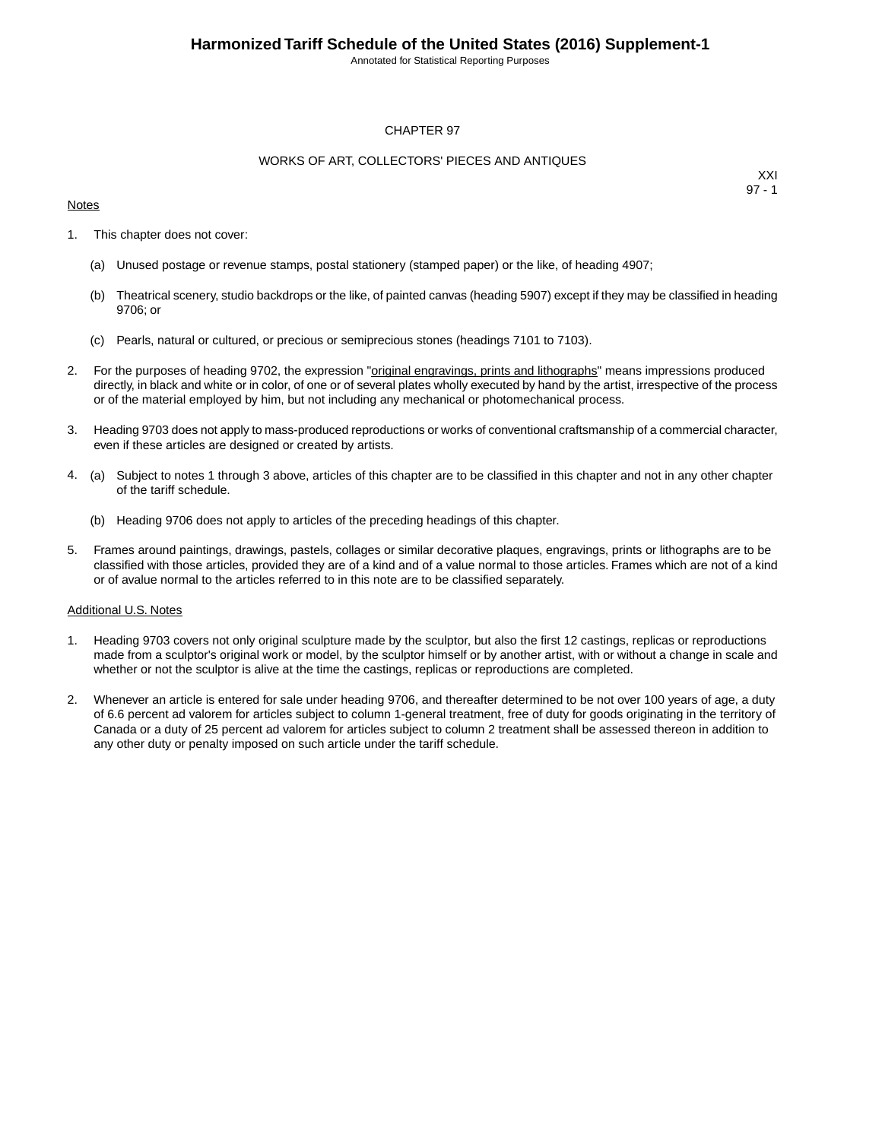Annotated for Statistical Reporting Purposes

## CHAPTER 97

## WORKS OF ART, COLLECTORS' PIECES AND ANTIQUES

## **Notes**

XXI 97 - 1

- 1. This chapter does not cover:
	- (a) Unused postage or revenue stamps, postal stationery (stamped paper) or the like, of heading 4907;
	- (b) Theatrical scenery, studio backdrops or the like, of painted canvas (heading 5907) except if they may be classified in heading 9706; or
	- (c) Pearls, natural or cultured, or precious or semiprecious stones (headings 7101 to 7103).
- 2. For the purposes of heading 9702, the expression "original engravings, prints and lithographs" means impressions produced directly, in black and white or in color, of one or of several plates wholly executed by hand by the artist, irrespective of the process or of the material employed by him, but not including any mechanical or photomechanical process.
- 3. Heading 9703 does not apply to mass-produced reproductions or works of conventional craftsmanship of a commercial character, even if these articles are designed or created by artists.
- 4. (a) Subject to notes 1 through 3 above, articles of this chapter are to be classified in this chapter and not in any other chapter of the tariff schedule.
	- (b) Heading 9706 does not apply to articles of the preceding headings of this chapter.
- 5. Frames around paintings, drawings, pastels, collages or similar decorative plaques, engravings, prints or lithographs are to be classified with those articles, provided they are of a kind and of a value normal to those articles. Frames which are not of a kind or of avalue normal to the articles referred to in this note are to be classified separately.

#### Additional U.S. Notes

- 1. Heading 9703 covers not only original sculpture made by the sculptor, but also the first 12 castings, replicas or reproductions made from a sculptor's original work or model, by the sculptor himself or by another artist, with or without a change in scale and whether or not the sculptor is alive at the time the castings, replicas or reproductions are completed.
- 2. Whenever an article is entered for sale under heading 9706, and thereafter determined to be not over 100 years of age, a duty of 6.6 percent ad valorem for articles subject to column 1-general treatment, free of duty for goods originating in the territory of Canada or a duty of 25 percent ad valorem for articles subject to column 2 treatment shall be assessed thereon in addition to any other duty or penalty imposed on such article under the tariff schedule.